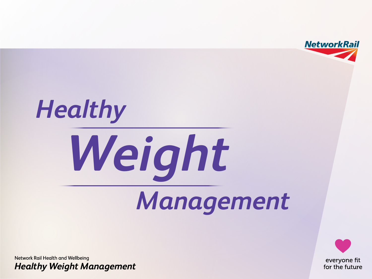

# *Healthy Management Weight*

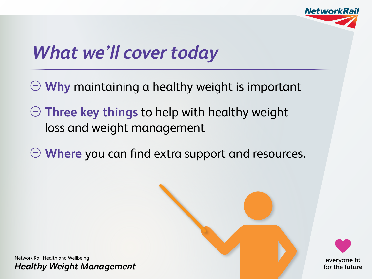

## *What we'll cover today*

- **Why** maintaining a healthy weight is important
- **Three key things** to help with healthy weight loss and weight management
- **Where** you can find extra support and resources.



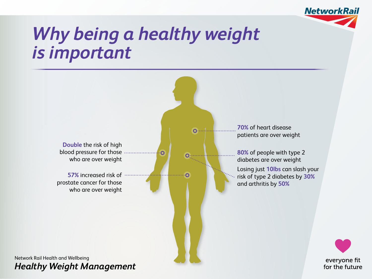

#### *Why being a healthy weight is important*

**0** 

ര



**57%** increased risk of prostate cancer for those who are over weight

**70%** of heart disease patients are over weight

> **80%** of people with type 2 diabetes are over weight Losing just **10lbs** can slash your risk of type 2 diabetes by **30%** and arthritis by **50%**

> > everyone fit for the future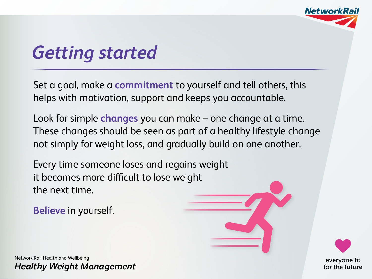

#### *Getting started*

Set a goal, make a **commitment** to yourself and tell others, this helps with motivation, support and keeps you accountable.

Look for simple **changes** you can make – one change at a time. These changes should be seen as part of a healthy lifestyle change not simply for weight loss, and gradually build on one another.

Every time someone loses and regains weight it becomes more difficult to lose weight the next time.

**Believe** in yourself.

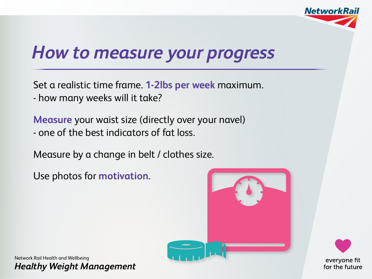

#### *How to measure your progress*

Set a realistic time frame. **1-2lbs per week** maximum.

- how many weeks will it take?

**Measure** your waist size (directly over your navel)

- one of the best indicators of fat loss.

Measure by a change in belt / clothes size.

Use photos for **motivation.**



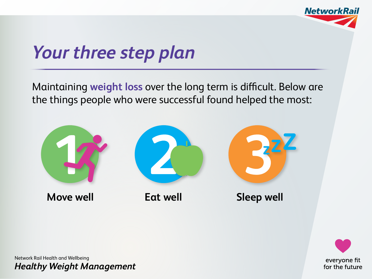

# *Your three step plan*

Maintaining **weight loss** over the long term is difficult. Below are the things people who were successful found helped the most:



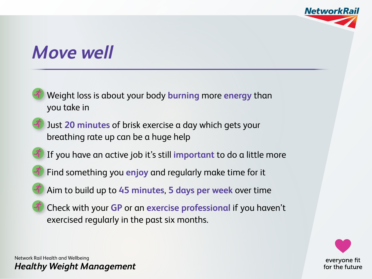

#### *Move well*



- Find something you **enjoy** and regularly make time for it
- Aim to build up to **45 minutes**, **5 days per week** over time
- Check with your **GP** or an **exercise professional** if you haven't exercised regularly in the past six months.

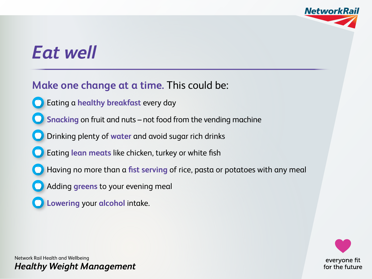

### *Eat well*

#### **Make one change at a time.** This could be:

- Eating a **healthy breakfast** every day
- **Snacking** on fruit and nuts not food from the vending machine
- Drinking plenty of **water** and avoid sugar rich drinks
- Eating **lean meats** like chicken, turkey or white fish
- Having no more than a **fist serving** of rice, pasta or potatoes with any meal
- Adding **greens** to your evening meal
- **Lowering** your **alcohol** intake.



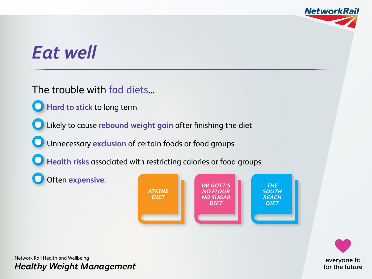

### *Eat well*

The trouble with fad diets...

**Hard to stick** to long term

Likely to cause **rebound weight gain** after finishing the diet

Unnecessary **exclusion** of certain foods or food groups

**Health risks** associated with restricting calories or food groups

Often **expensive.**



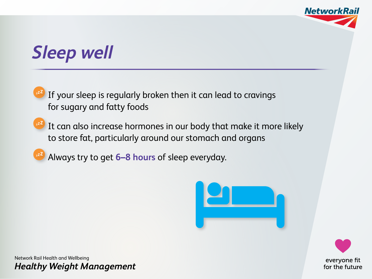

# *Sleep well*

 If your sleep is regularly broken then it can lead to cravings for sugary and fatty foods

- <sup>22</sup> It can also increase hormones in our body that make it more likely to store fat, particularly around our stomach and organs
	- Always try to get **6–8 hours** of sleep everyday.